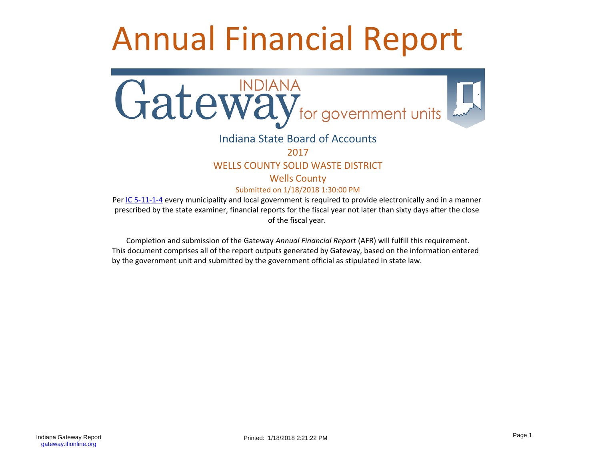# Annual Financial Report



# Indiana State Board of Accounts

2017

## WELLS COUNTY SOLID WASTE DISTRICT

Wells County

Submitted on 1/18/2018 1:30:00 PM

Per [IC 5-11-1-4](http://www.in.gov/legislative/ic/code/title5/ar11/ch1.html#IC5-11-1-4) every municipality and local government is required to provide electronically and in a manner prescribed by the state examiner, financial reports for the fiscal year not later than sixty days after the close of the fiscal year.

Completion and submission of the Gateway *Annual Financial Report* (AFR) will fulfill this requirement. This document comprises all of the report outputs generated by Gateway, based on the information entered by the government unit and submitted by the government official as stipulated in state law.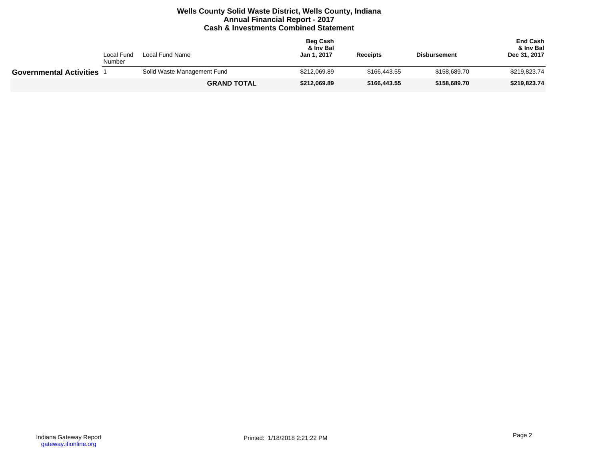## **Wells County Solid Waste District, Wells County, Indiana Annual Financial Report - 2017 Cash & Investments Combined Statement**

| Local Fund<br>Local Fund Name<br>Number |  |                             | <b>Beg Cash</b><br>& Inv Bal<br>Jan 1, 2017 | <b>Receipts</b> | <b>Disbursement</b> | <b>End Cash</b><br>& Inv Bal<br>Dec 31, 2017 |
|-----------------------------------------|--|-----------------------------|---------------------------------------------|-----------------|---------------------|----------------------------------------------|
| <b>Governmental Activities</b>          |  | Solid Waste Management Fund | \$212,069.89                                | \$166,443.55    | \$158,689.70        | \$219,823.74                                 |
|                                         |  | <b>GRAND TOTAL</b>          | \$212,069.89                                | \$166,443.55    | \$158,689.70        | \$219,823.74                                 |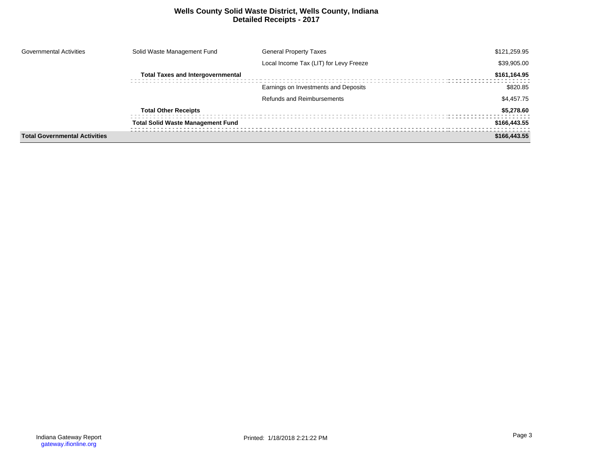## **Wells County Solid Waste District, Wells County, Indiana Detailed Receipts - 2017**

| <b>Governmental Activities</b>       | Solid Waste Management Fund              | <b>General Property Taxes</b>          | \$121,259.95 |
|--------------------------------------|------------------------------------------|----------------------------------------|--------------|
|                                      |                                          | Local Income Tax (LIT) for Levy Freeze | \$39,905.00  |
|                                      | <b>Total Taxes and Intergovernmental</b> |                                        | \$161,164.95 |
|                                      |                                          | Earnings on Investments and Deposits   | \$820.85     |
|                                      |                                          | <b>Refunds and Reimbursements</b>      | \$4,457.75   |
|                                      | <b>Total Other Receipts</b>              |                                        | \$5,278.60   |
|                                      | <b>Total Solid Waste Management Fund</b> |                                        | \$166,443.55 |
| <b>Total Governmental Activities</b> |                                          |                                        | \$166,443.55 |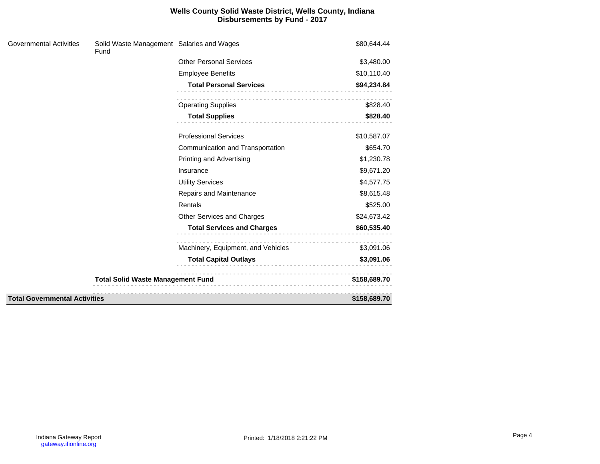## **Wells County Solid Waste District, Wells County, Indiana Disbursements by Fund - 2017**

| <b>Governmental Activities</b>       | Solid Waste Management Salaries and Wages<br>Fund |                                    | \$80,644.44  |
|--------------------------------------|---------------------------------------------------|------------------------------------|--------------|
|                                      |                                                   | <b>Other Personal Services</b>     | \$3,480.00   |
|                                      |                                                   | <b>Employee Benefits</b>           | \$10,110.40  |
|                                      |                                                   | <b>Total Personal Services</b>     | \$94,234.84  |
|                                      |                                                   | <b>Operating Supplies</b>          | \$828.40     |
|                                      |                                                   | <b>Total Supplies</b>              | \$828.40     |
|                                      |                                                   | <b>Professional Services</b>       | \$10,587.07  |
|                                      |                                                   | Communication and Transportation   | \$654.70     |
|                                      |                                                   | <b>Printing and Advertising</b>    | \$1,230.78   |
|                                      |                                                   | Insurance                          | \$9,671.20   |
|                                      |                                                   | <b>Utility Services</b>            | \$4,577.75   |
|                                      |                                                   | Repairs and Maintenance            | \$8,615.48   |
|                                      |                                                   | Rentals                            | \$525.00     |
|                                      |                                                   | Other Services and Charges         | \$24,673.42  |
|                                      |                                                   | <b>Total Services and Charges</b>  | \$60,535.40  |
|                                      |                                                   | Machinery, Equipment, and Vehicles | \$3,091.06   |
|                                      |                                                   | <b>Total Capital Outlays</b>       | \$3,091.06   |
|                                      | <b>Total Solid Waste Management Fund</b>          |                                    | \$158,689.70 |
| <b>Total Governmental Activities</b> |                                                   |                                    | \$158,689.70 |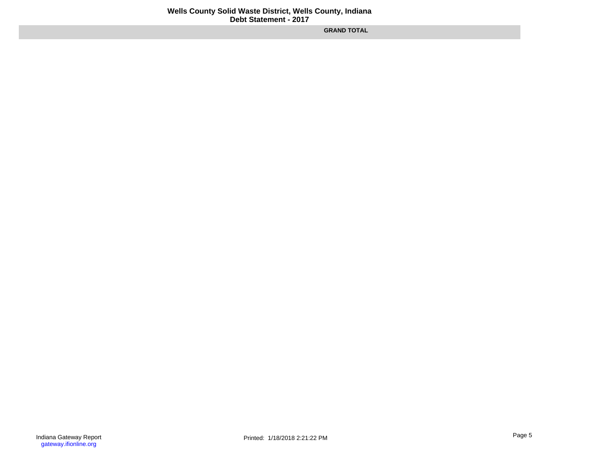**GRAND TOTAL**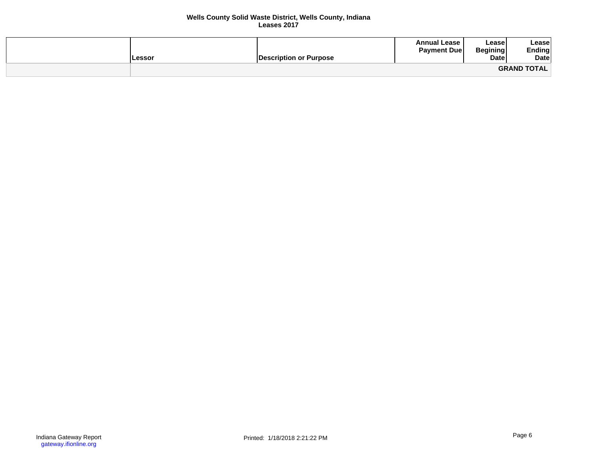#### **Wells County Solid Waste District, Wells County, Indiana Leases 2017**

| ∟essor | Description or Purpose_ | <b>Annual Lease</b><br><b>Payment Due</b> | Leasel<br><b>Begining</b><br><b>Date</b> | Lease<br>Ending<br>Date |
|--------|-------------------------|-------------------------------------------|------------------------------------------|-------------------------|
|        |                         |                                           |                                          | <b>GRAND TOTAL</b>      |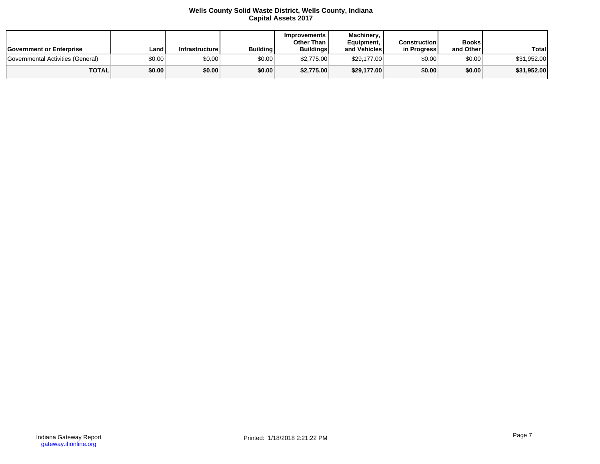#### **Wells County Solid Waste District, Wells County, Indiana Capital Assets 2017**

| <b>Government or Enterprise</b>   | Land   | Infrastructurel | <b>Building</b> | <b>Improvements</b><br>Other Than<br><b>Buildings</b> | Machinery.<br>Equipment,<br>and Vehicles | <b>Construction</b><br>in Progress | <b>Books</b><br>and Other | Total       |
|-----------------------------------|--------|-----------------|-----------------|-------------------------------------------------------|------------------------------------------|------------------------------------|---------------------------|-------------|
| Governmental Activities (General) | \$0.00 | \$0.00          | \$0.00          | \$2,775.00                                            | \$29.177.00                              | \$0.00                             | \$0.00                    | \$31,952.00 |
| <b>TOTAL</b>                      | \$0.00 | \$0.00          | \$0.00          | \$2,775.00                                            | \$29,177.00                              | \$0.00                             | \$0.00                    | \$31,952.00 |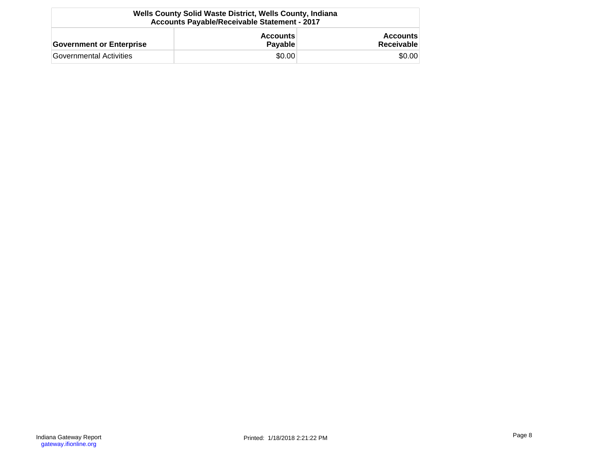| Wells County Solid Waste District, Wells County, Indiana<br><b>Accounts Payable/Receivable Statement - 2017</b> |                            |                               |  |  |  |
|-----------------------------------------------------------------------------------------------------------------|----------------------------|-------------------------------|--|--|--|
| <b>Government or Enterprise</b>                                                                                 | <b>Accounts</b><br>Payable | <b>Accounts</b><br>Receivable |  |  |  |
| Governmental Activities                                                                                         | \$0.00                     | \$0.00                        |  |  |  |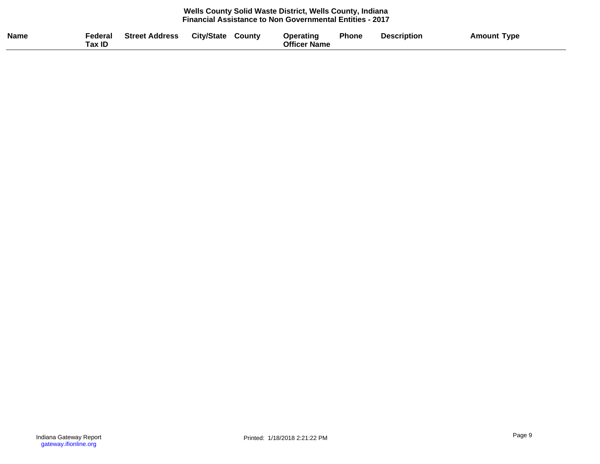#### **Wells County Solid Waste District, Wells County, Indiana Financial Assistance to Non Governmental Entities - 2017**

| <b>Name</b><br><b>City/State</b><br>Federal<br><b>Street Address</b><br>County<br>ax ID | <b>Phone</b><br><b>Description</b><br>Operatinq<br><b>Officer Name</b> | <b>Amount</b><br>Type |
|-----------------------------------------------------------------------------------------|------------------------------------------------------------------------|-----------------------|
|-----------------------------------------------------------------------------------------|------------------------------------------------------------------------|-----------------------|